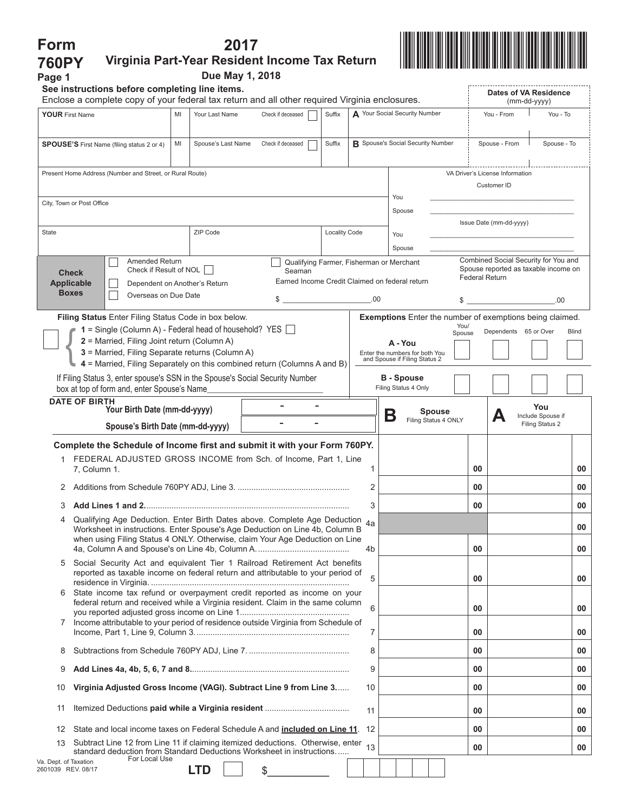| Form                                                                                                                                                                                                                                              |                                                                                                                                                               |                               | 2017                                                                                                                                                        |                      |                                       |                                                                                            |                                                                                                       |                                      |  |  |  |
|---------------------------------------------------------------------------------------------------------------------------------------------------------------------------------------------------------------------------------------------------|---------------------------------------------------------------------------------------------------------------------------------------------------------------|-------------------------------|-------------------------------------------------------------------------------------------------------------------------------------------------------------|----------------------|---------------------------------------|--------------------------------------------------------------------------------------------|-------------------------------------------------------------------------------------------------------|--------------------------------------|--|--|--|
| <b>760PY</b>                                                                                                                                                                                                                                      |                                                                                                                                                               |                               | Virginia Part-Year Resident Income Tax Return                                                                                                               |                      |                                       |                                                                                            |                                                                                                       |                                      |  |  |  |
| Page 1                                                                                                                                                                                                                                            | See instructions before completing line items.                                                                                                                |                               | Due May 1, 2018                                                                                                                                             |                      |                                       |                                                                                            |                                                                                                       |                                      |  |  |  |
|                                                                                                                                                                                                                                                   | Enclose a complete copy of your federal tax return and all other required Virginia enclosures.                                                                |                               |                                                                                                                                                             |                      | Dates of VA Residence<br>(mm-dd-yyyy) |                                                                                            |                                                                                                       |                                      |  |  |  |
| <b>YOUR First Name</b><br>Your Last Name<br>MI                                                                                                                                                                                                    |                                                                                                                                                               |                               | Check if deceased                                                                                                                                           | Suffix               |                                       | A Your Social Security Number                                                              | You - From                                                                                            | You - To                             |  |  |  |
|                                                                                                                                                                                                                                                   | <b>SPOUSE'S</b> First Name (filing status 2 or 4)                                                                                                             | MI<br>Spouse's Last Name      | Check if deceased                                                                                                                                           | Suffix               |                                       | <b>B</b> Spouse's Social Security Number                                                   | Spouse - From                                                                                         | Spouse - To                          |  |  |  |
|                                                                                                                                                                                                                                                   | Present Home Address (Number and Street, or Rural Route)                                                                                                      |                               |                                                                                                                                                             |                      |                                       |                                                                                            | VA Driver's License Information                                                                       |                                      |  |  |  |
|                                                                                                                                                                                                                                                   |                                                                                                                                                               |                               |                                                                                                                                                             |                      |                                       | You                                                                                        | Customer ID                                                                                           |                                      |  |  |  |
|                                                                                                                                                                                                                                                   | City, Town or Post Office                                                                                                                                     |                               |                                                                                                                                                             |                      |                                       | Spouse                                                                                     |                                                                                                       |                                      |  |  |  |
| State<br>ZIP Code                                                                                                                                                                                                                                 |                                                                                                                                                               |                               |                                                                                                                                                             | <b>Locality Code</b> | You                                   |                                                                                            | Issue Date (mm-dd-yyyy)                                                                               |                                      |  |  |  |
|                                                                                                                                                                                                                                                   |                                                                                                                                                               |                               |                                                                                                                                                             |                      |                                       | Spouse                                                                                     |                                                                                                       |                                      |  |  |  |
|                                                                                                                                                                                                                                                   | <b>Amended Return</b><br>Check if Result of NOL<br><b>Check</b><br><b>Applicable</b>                                                                          | Dependent on Another's Return | Seaman                                                                                                                                                      |                      |                                       | Qualifying Farmer, Fisherman or Merchant<br>Earned Income Credit Claimed on federal return | Combined Social Security for You and<br>Spouse reported as taxable income on<br><b>Federal Return</b> |                                      |  |  |  |
|                                                                                                                                                                                                                                                   | <b>Boxes</b><br>Overseas on Due Date                                                                                                                          |                               | $\$\color{red}5\color{white}$                                                                                                                               |                      |                                       | \$                                                                                         |                                                                                                       | .00.                                 |  |  |  |
|                                                                                                                                                                                                                                                   | Filing Status Enter Filing Status Code in box below.                                                                                                          |                               |                                                                                                                                                             |                      |                                       | <b>Exemptions</b> Enter the number of exemptions being claimed.                            |                                                                                                       |                                      |  |  |  |
|                                                                                                                                                                                                                                                   | $1 =$ Single (Column A) - Federal head of household? YES $\Box$                                                                                               |                               |                                                                                                                                                             |                      |                                       | You/<br>Dependents 65 or Over<br><b>Blind</b><br>Spouse                                    |                                                                                                       |                                      |  |  |  |
| 2 = Married, Filing Joint return (Column A)<br>3 = Married, Filing Separate returns (Column A)                                                                                                                                                    |                                                                                                                                                               |                               |                                                                                                                                                             |                      |                                       | A - You<br>Enter the numbers for both You<br>and Spouse if Filing Status 2                 |                                                                                                       |                                      |  |  |  |
|                                                                                                                                                                                                                                                   | 4 = Married, Filing Separately on this combined return (Columns A and B)<br>If Filing Status 3, enter spouse's SSN in the Spouse's Social Security Number     |                               |                                                                                                                                                             | <b>B</b> - Spouse    |                                       |                                                                                            |                                                                                                       |                                      |  |  |  |
|                                                                                                                                                                                                                                                   | box at top of form and, enter Spouse's Name                                                                                                                   |                               |                                                                                                                                                             |                      |                                       | Filing Status 4 Only                                                                       |                                                                                                       |                                      |  |  |  |
| <b>DATE OF BIRTH</b><br>Your Birth Date (mm-dd-yyyy)                                                                                                                                                                                              |                                                                                                                                                               |                               |                                                                                                                                                             |                      |                                       | <b>Spouse</b>                                                                              |                                                                                                       | You                                  |  |  |  |
| Spouse's Birth Date (mm-dd-yyyy)                                                                                                                                                                                                                  |                                                                                                                                                               |                               |                                                                                                                                                             |                      |                                       | Β<br>Filing Status 4 ONLY                                                                  | Д                                                                                                     | Include Spouse if<br>Filing Status 2 |  |  |  |
|                                                                                                                                                                                                                                                   | Complete the Schedule of Income first and submit it with your Form 760PY.                                                                                     |                               |                                                                                                                                                             |                      |                                       |                                                                                            |                                                                                                       |                                      |  |  |  |
|                                                                                                                                                                                                                                                   | 1 FEDERAL ADJUSTED GROSS INCOME from Sch. of Income, Part 1, Line<br>7, Column 1.                                                                             |                               |                                                                                                                                                             |                      | 1                                     |                                                                                            | 00                                                                                                    | 00                                   |  |  |  |
|                                                                                                                                                                                                                                                   |                                                                                                                                                               |                               |                                                                                                                                                             |                      | 2                                     |                                                                                            | 00                                                                                                    | 00                                   |  |  |  |
| 3                                                                                                                                                                                                                                                 |                                                                                                                                                               | 3                             |                                                                                                                                                             | 00                   | 00                                    |                                                                                            |                                                                                                       |                                      |  |  |  |
| Qualifying Age Deduction. Enter Birth Dates above. Complete Age Deduction 4a<br>4<br>Worksheet in instructions. Enter Spouse's Age Deduction on Line 4b, Column B<br>when using Filing Status 4 ONLY. Otherwise, claim Your Age Deduction on Line |                                                                                                                                                               |                               |                                                                                                                                                             |                      |                                       |                                                                                            |                                                                                                       | 00                                   |  |  |  |
|                                                                                                                                                                                                                                                   |                                                                                                                                                               |                               |                                                                                                                                                             |                      |                                       |                                                                                            | 00                                                                                                    | 00                                   |  |  |  |
| 5                                                                                                                                                                                                                                                 | Social Security Act and equivalent Tier 1 Railroad Retirement Act benefits<br>reported as taxable income on federal return and attributable to your period of |                               |                                                                                                                                                             |                      |                                       |                                                                                            | 00                                                                                                    | 00                                   |  |  |  |
| 6                                                                                                                                                                                                                                                 |                                                                                                                                                               |                               | State income tax refund or overpayment credit reported as income on your<br>federal return and received while a Virginia resident. Claim in the same column |                      |                                       | 00                                                                                         | 00                                                                                                    |                                      |  |  |  |
| 7                                                                                                                                                                                                                                                 | Income attributable to your period of residence outside Virginia from Schedule of                                                                             |                               |                                                                                                                                                             | 7                    |                                       | 00                                                                                         | 00                                                                                                    |                                      |  |  |  |
| 8                                                                                                                                                                                                                                                 |                                                                                                                                                               |                               |                                                                                                                                                             | 8                    |                                       | 00                                                                                         | 00                                                                                                    |                                      |  |  |  |
| 9                                                                                                                                                                                                                                                 |                                                                                                                                                               |                               |                                                                                                                                                             | 9                    |                                       | 00                                                                                         | 00                                                                                                    |                                      |  |  |  |
| 10                                                                                                                                                                                                                                                | Virginia Adjusted Gross Income (VAGI). Subtract Line 9 from Line 3                                                                                            |                               |                                                                                                                                                             |                      |                                       |                                                                                            | 00                                                                                                    | 00                                   |  |  |  |
| 11                                                                                                                                                                                                                                                |                                                                                                                                                               |                               |                                                                                                                                                             |                      | 11                                    |                                                                                            | 00                                                                                                    | 00                                   |  |  |  |
| 12                                                                                                                                                                                                                                                | State and local income taxes on Federal Schedule A and <b>included on Line 11</b> .                                                                           |                               |                                                                                                                                                             |                      |                                       |                                                                                            | 00                                                                                                    | 00                                   |  |  |  |
| 13                                                                                                                                                                                                                                                | Subtract Line 12 from Line 11 if claiming itemized deductions. Otherwise, enter<br>standard deduction from Standard Deductions Worksheet in instructions      |                               |                                                                                                                                                             | 13                   |                                       | 00                                                                                         | 00                                                                                                    |                                      |  |  |  |
| For Local Use<br>Va. Dept. of Taxation<br>2601039 REV. 08/17                                                                                                                                                                                      |                                                                                                                                                               | <b>LTD</b>                    | \$                                                                                                                                                          |                      |                                       |                                                                                            |                                                                                                       |                                      |  |  |  |